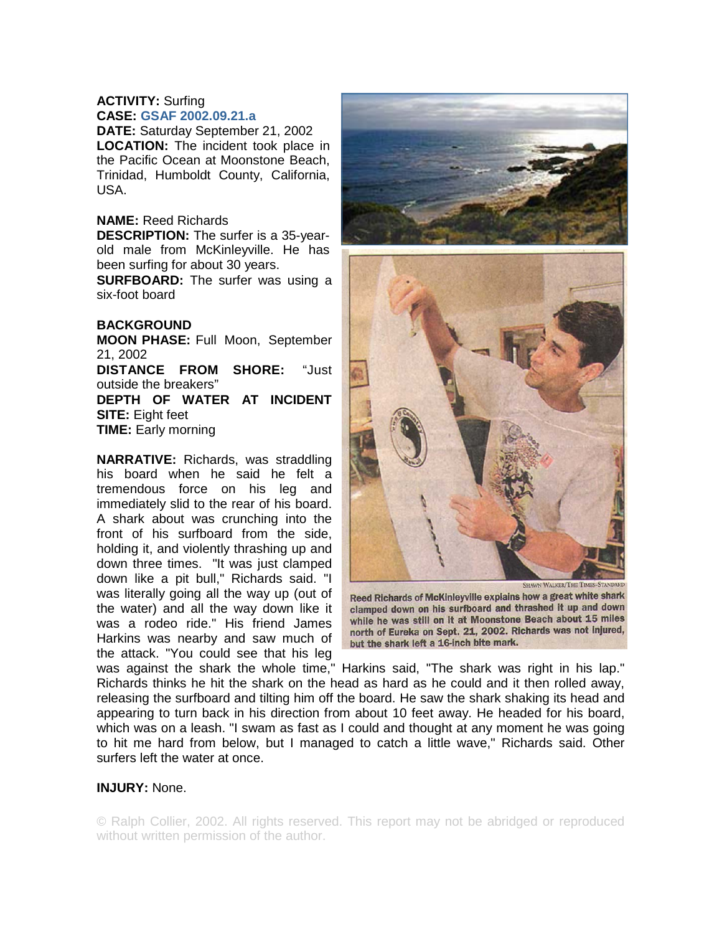## **ACTIVITY:** Surfing **CASE: GSAF 2002.09.21.a**

**DATE:** Saturday September 21, 2002 **LOCATION:** The incident took place in the Pacific Ocean at Moonstone Beach, Trinidad, Humboldt County, California, USA.

## **NAME:** Reed Richards

**DESCRIPTION:** The surfer is a 35-yearold male from McKinleyville. He has been surfing for about 30 years.

**SURFBOARD:** The surfer was using a six-foot board

## **BACKGROUND**

**MOON PHASE:** Full Moon, September 21, 2002 **DISTANCE FROM SHORE:** "Just outside the breakers" **DEPTH OF WATER AT INCIDENT SITE:** Eight feet **TIME:** Early morning

**NARRATIVE:** Richards, was straddling his board when he said he felt a tremendous force on his leg and immediately slid to the rear of his board. A shark about was crunching into the front of his surfboard from the side, holding it, and violently thrashing up and down three times. "It was just clamped down like a pit bull," Richards said. "I was literally going all the way up (out of the water) and all the way down like it was a rodeo ride." His friend James Harkins was nearby and saw much of the attack. "You could see that his leg



HAWN WALKER/THE TIMES-STA Reed Richards of McKinleyville explains how a great white shark clamped down on his surfboard and thrashed it up and down while he was still on it at Moonstone Beach about 15 miles north of Eureka on Sept. 21, 2002. Richards was not injured, but the shark left a 16-inch bite mark.

was against the shark the whole time," Harkins said, "The shark was right in his lap." Richards thinks he hit the shark on the head as hard as he could and it then rolled away, releasing the surfboard and tilting him off the board. He saw the shark shaking its head and appearing to turn back in his direction from about 10 feet away. He headed for his board, which was on a leash. "I swam as fast as I could and thought at any moment he was going to hit me hard from below, but I managed to catch a little wave," Richards said. Other surfers left the water at once.

## **INJURY:** None.

© Ralph Collier, 2002. All rights reserved. This report may not be abridged or reproduced without written permission of the author.